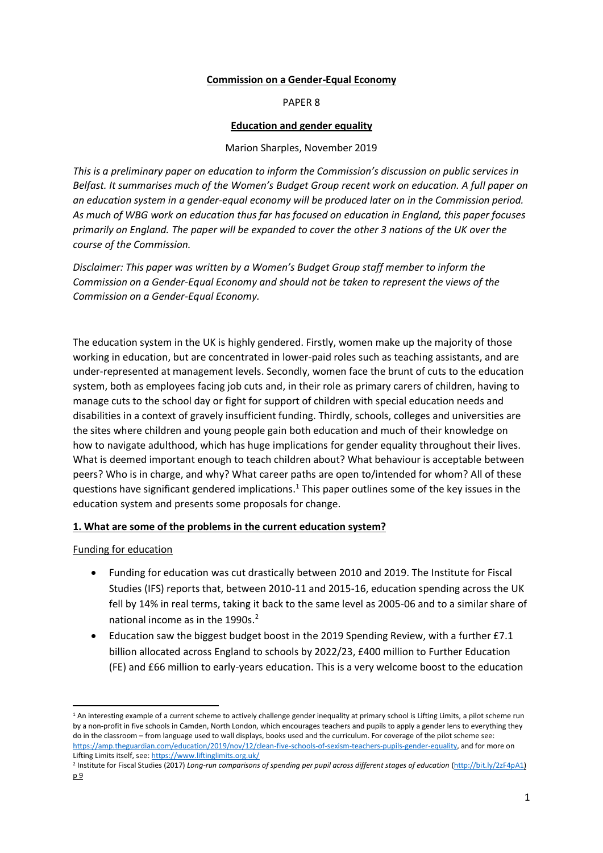### **Commission on a Gender-Equal Economy**

#### PAPER 8

### **Education and gender equality**

### Marion Sharples, November 2019

*This is a preliminary paper on education to inform the Commission's discussion on public services in Belfast. It summarises much of the Women's Budget Group recent work on education. A full paper on an education system in a gender-equal economy will be produced later on in the Commission period. As much of WBG work on education thus far has focused on education in England, this paper focuses primarily on England. The paper will be expanded to cover the other 3 nations of the UK over the course of the Commission.*

*Disclaimer: This paper was written by a Women's Budget Group staff member to inform the Commission on a Gender-Equal Economy and should not be taken to represent the views of the Commission on a Gender-Equal Economy.*

The education system in the UK is highly gendered. Firstly, women make up the majority of those working in education, but are concentrated in lower-paid roles such as teaching assistants, and are under-represented at management levels. Secondly, women face the brunt of cuts to the education system, both as employees facing job cuts and, in their role as primary carers of children, having to manage cuts to the school day or fight for support of children with special education needs and disabilities in a context of gravely insufficient funding. Thirdly, schools, colleges and universities are the sites where children and young people gain both education and much of their knowledge on how to navigate adulthood, which has huge implications for gender equality throughout their lives. What is deemed important enough to teach children about? What behaviour is acceptable between peers? Who is in charge, and why? What career paths are open to/intended for whom? All of these questions have significant gendered implications.<sup>1</sup> This paper outlines some of the key issues in the education system and presents some proposals for change.

#### **1. What are some of the problems in the current education system?**

# Funding for education

- Funding for education was cut drastically between 2010 and 2019. The Institute for Fiscal Studies (IFS) reports that, between 2010-11 and 2015-16, education spending across the UK fell by 14% in real terms, taking it back to the same level as 2005-06 and to a similar share of national income as in the 1990s.<sup>2</sup>
- Education saw the biggest budget boost in the 2019 Spending Review, with a further £7.1 billion allocated across England to schools by 2022/23, £400 million to Further Education (FE) and £66 million to early-years education. This is a very welcome boost to the education

 $1$  An interesting example of a current scheme to actively challenge gender inequality at primary school is Lifting Limits, a pilot scheme run by a non-profit in five schools in Camden, North London, which encourages teachers and pupils to apply a gender lens to everything they do in the classroom – from language used to wall displays, books used and the curriculum. For coverage of the pilot scheme see: [https://amp.theguardian.com/education/2019/nov/12/clean-five-schools-of-sexism-teachers-pupils-gender-equality,](https://amp.theguardian.com/education/2019/nov/12/clean-five-schools-of-sexism-teachers-pupils-gender-equality?CMP=Share_iOSApp_Other&__twitter_impression=true) and for more on Lifting Limits itself, see[: https://www.liftinglimits.org.uk/](https://www.liftinglimits.org.uk/)

<sup>&</sup>lt;sup>2</sup> Institute for Fiscal Studies (2017) *Long-run comparisons of spending per pupil across different stages of education (ht<u>tp://bit.ly/2zF4pA1)</u>* p 9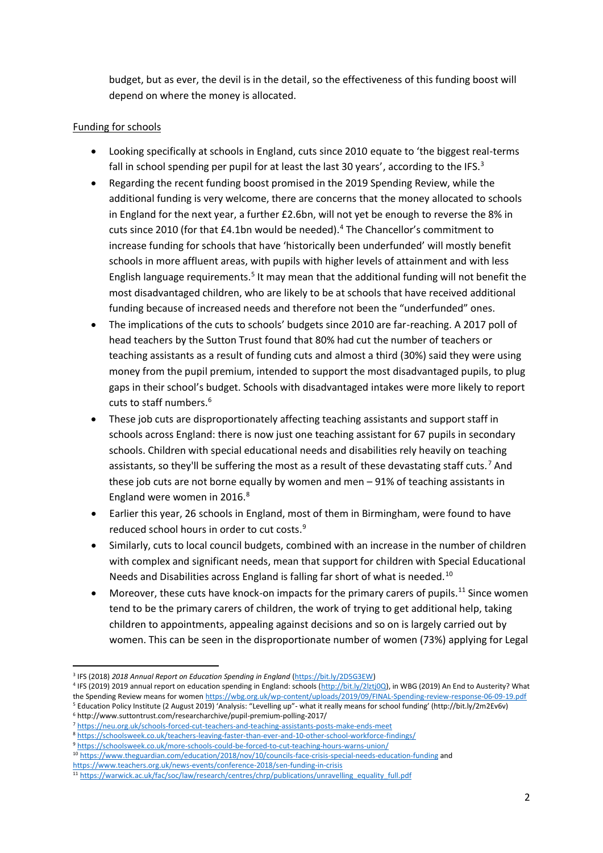budget, but as ever, the devil is in the detail, so the effectiveness of this funding boost will depend on where the money is allocated.

## Funding for schools

- Looking specifically at schools in England, cuts since 2010 equate to 'the biggest real-terms fall in school spending per pupil for at least the last 30 years', according to the IFS. $3$
- Regarding the recent funding boost promised in the 2019 Spending Review, while the additional funding is very welcome, there are concerns that the money allocated to schools in England for the next year, a further £2.6bn, will not yet be enough to reverse the 8% in cuts since 2010 (for that  $£4.1$ bn would be needed).<sup>4</sup> The Chancellor's commitment to increase funding for schools that have 'historically been underfunded' will mostly benefit schools in more affluent areas, with pupils with higher levels of attainment and with less English language requirements.<sup>5</sup> It may mean that the additional funding will not benefit the most disadvantaged children, who are likely to be at schools that have received additional funding because of increased needs and therefore not been the "underfunded" ones.
- The implications of the cuts to schools' budgets since 2010 are far-reaching. A 2017 poll of head teachers by the Sutton Trust found that 80% had cut the number of teachers or teaching assistants as a result of funding cuts and almost a third (30%) said they were using money from the pupil premium, intended to support the most disadvantaged pupils, to plug gaps in their school's budget. Schools with disadvantaged intakes were more likely to report cuts to staff numbers.<sup>6</sup>
- These job cuts are disproportionately affecting teaching assistants and support staff in schools across England: there is now just one teaching assistant for 67 pupils in secondary schools. Children with special educational needs and disabilities rely heavily on teaching assistants, so they'll be suffering the most as a result of these devastating staff cuts.<sup>7</sup> And these job cuts are not borne equally by women and men – 91% of teaching assistants in England were women in 2016.<sup>8</sup>
- Earlier this year, 26 schools in England, most of them in Birmingham, were found to have reduced school hours in order to cut costs.<sup>9</sup>
- Similarly, cuts to local council budgets, combined with an increase in the number of children with complex and significant needs, mean that support for children with Special Educational Needs and Disabilities across England is falling far short of what is needed.<sup>10</sup>
- Moreover, these cuts have knock-on impacts for the primary carers of pupils.<sup>11</sup> Since women tend to be the primary carers of children, the work of trying to get additional help, taking children to appointments, appealing against decisions and so on is largely carried out by women. This can be seen in the disproportionate number of women (73%) applying for Legal

<sup>4</sup> IFS (2019) 2019 annual report on education spending in England: schools [\(http://bit.ly/2lztj0Q\),](http://bit.ly/2lztj0Q) in WBG (2019) An End to Austerity? What the Spending Review means for wome[n https://wbg.org.uk/wp-content/uploads/2019/09/FINAL-Spending-review-response-06-09-19.pdf](https://wbg.org.uk/wp-content/uploads/2019/09/FINAL-Spending-review-response-06-09-19.pdf) <sup>5</sup> Education Policy Institute (2 August 2019) 'Analysis: "Levelling up"- what it really means for school funding' (http://bit.ly/2m2Ev6v)

<sup>3</sup> IFS (2018) *2018 Annual Report on Education Spending in England* [\(https://bit.ly/2D5G3EW\)](https://bit.ly/2D5G3EW)

<sup>6</sup> http://www.suttontrust.com/researcharchive/pupil-premium-polling-2017/

<sup>7</sup> <https://neu.org.uk/schools-forced-cut-teachers-and-teaching-assistants-posts-make-ends-meet> <sup>8</sup> <https://schoolsweek.co.uk/teachers-leaving-faster-than-ever-and-10-other-school-workforce-findings/>

<sup>9</sup> <https://schoolsweek.co.uk/more-schools-could-be-forced-to-cut-teaching-hours-warns-union/>

<sup>10</sup> <https://www.theguardian.com/education/2018/nov/10/councils-face-crisis-special-needs-education-funding> and

<https://www.teachers.org.uk/news-events/conference-2018/sen-funding-in-crisis>

<sup>11</sup> [https://warwick.ac.uk/fac/soc/law/research/centres/chrp/publications/unravelling\\_equality\\_full.pdf](https://warwick.ac.uk/fac/soc/law/research/centres/chrp/publications/unravelling_equality_full.pdf)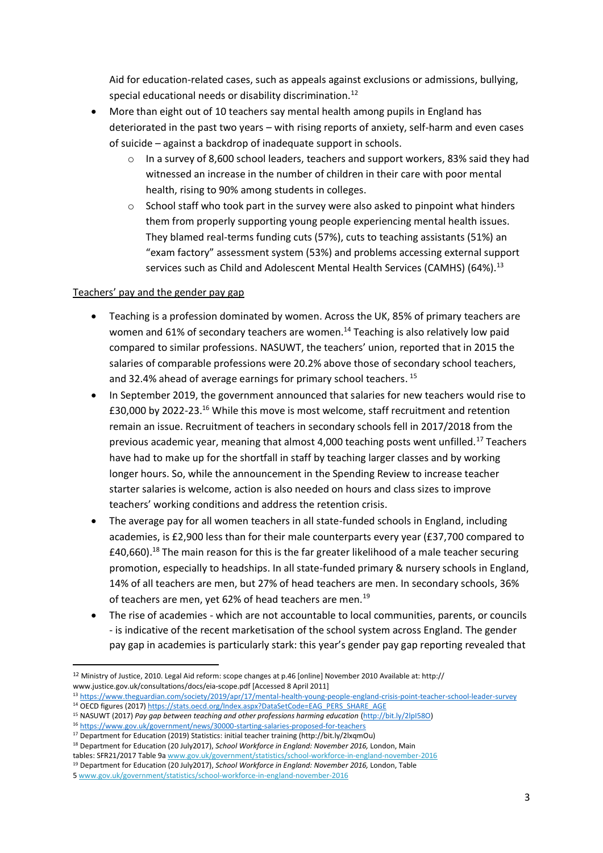Aid for education-related cases, such as appeals against exclusions or admissions, bullying, special educational needs or disability discrimination.<sup>12</sup>

- More than eight out of 10 teachers say mental health among pupils in England has deteriorated in the past two years – with rising reports of anxiety, self-harm and even cases of suicide – against a backdrop of inadequate support in schools.
	- In a survey of 8,600 school leaders, teachers and support workers, 83% said they had witnessed an increase in the number of children in their care with poor mental health, rising to 90% among students in colleges.
	- $\circ$  School staff who took part in the survey were also asked to pinpoint what hinders them from properly supporting young people experiencing mental health issues. They blamed real-terms funding cuts (57%), cuts to teaching assistants (51%) an "exam factory" assessment system (53%) and problems accessing external support services such as Child and Adolescent Mental Health Services (CAMHS) (64%).<sup>13</sup>

# Teachers' pay and the gender pay gap

- Teaching is a profession dominated by women. Across the UK, 85% of primary teachers are women and 61% of secondary teachers are women.<sup>14</sup> Teaching is also relatively low paid compared to similar professions. NASUWT, the teachers' union, reported that in 2015 the salaries of comparable professions were 20.2% above those of secondary school teachers, and 32.4% ahead of average earnings for primary school teachers. 15
- In September 2019, the government announced that salaries for new teachers would rise to £30,000 by 2022-23. <sup>16</sup> While this move is most welcome, staff recruitment and retention remain an issue. Recruitment of teachers in secondary schools fell in 2017/2018 from the previous academic year, meaning that almost 4,000 teaching posts went unfilled.<sup>17</sup> Teachers have had to make up for the shortfall in staff by teaching larger classes and by working longer hours. So, while the announcement in the Spending Review to increase teacher starter salaries is welcome, action is also needed on hours and class sizes to improve teachers' working conditions and address the retention crisis.
- The average pay for all women teachers in all state-funded schools in England, including academies, is £2,900 less than for their male counterparts every year (£37,700 compared to  $£40,660$ .<sup>18</sup> The main reason for this is the far greater likelihood of a male teacher securing promotion, especially to headships. In all state-funded primary & nursery schools in England, 14% of all teachers are men, but 27% of head teachers are men. In secondary schools, 36% of teachers are men, yet 62% of head teachers are men.<sup>19</sup>
- The rise of academies which are not accountable to local communities, parents, or councils - is indicative of the recent marketisation of the school system across England. The gender pay gap in academies is particularly stark: this year's gender pay gap reporting revealed that

<sup>12</sup> Ministry of Justice, 2010. Legal Aid reform: scope changes at p.46 [online] November 2010 Available at: http:// www.justice.gov.uk/consultations/docs/eia-scope.pdf [Accessed 8 April 2011]

<sup>13</sup> <https://www.theguardian.com/society/2019/apr/17/mental-health-young-people-england-crisis-point-teacher-school-leader-survey> <sup>14</sup> OECD figures (2017[\) https://stats.oecd.org/Index.aspx?DataSetCode=EAG\\_PERS\\_SHARE\\_AGE](https://stats.oecd.org/Index.aspx?DataSetCode=EAG_PERS_SHARE_AGE)

<sup>15</sup> NASUWT (2017) *Pay gap between teaching and other professions harming education* [\(http://bit.ly/2lpI58O\)](http://bit.ly/2lpI58O)

<sup>16</sup> <https://www.gov.uk/government/news/30000-starting-salaries-proposed-for-teachers>

<sup>17</sup> Department for Education (2019) Statistics: initial teacher training (http://bit.ly/2lxqmOu)

<sup>18</sup> Department for Education (20 July2017), *School Workforce in England: November 2016,* London, Main tables: SFR21/2017 Table 9a [www.gov.uk/government/statistics/school-workforce-in-england-november-2016](http://www.gov.uk/government/statistics/school-workforce-in-england-november-2015)

<sup>19</sup> Department for Education (20 July2017), *School Workforce in England: November 2016,* London, Table

<sup>5</sup> [www.gov.uk/government/statistics/school-workforce-in-england-november-2016](http://www.gov.uk/government/statistics/school-workforce-in-england-november-2015)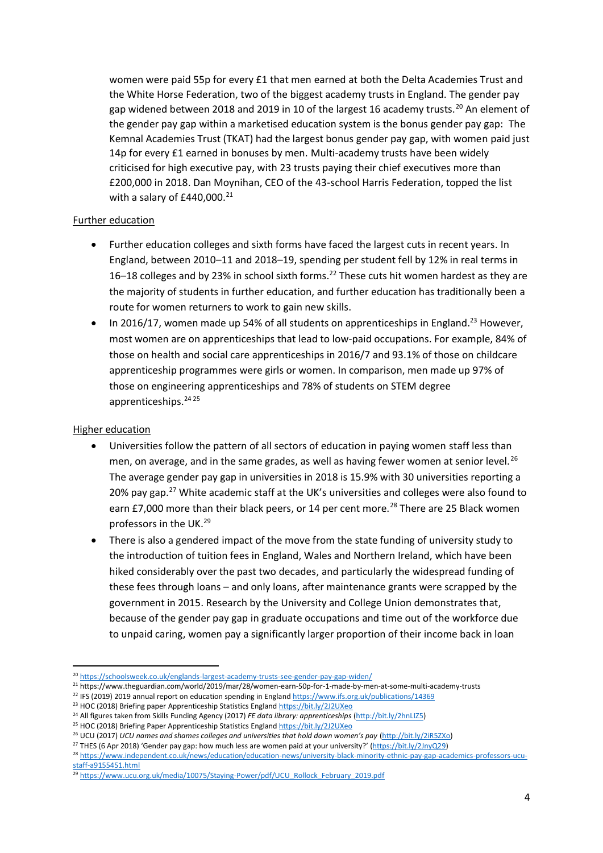women were paid 55p for every £1 that men earned at both the Delta Academies Trust and the White Horse Federation, two of the biggest academy trusts in England. The gender pay gap widened between 2018 and 2019 in 10 of the largest 16 academy trusts.<sup>20</sup> An element of the gender pay gap within a marketised education system is the bonus gender pay gap: The Kemnal Academies Trust (TKAT) had the largest bonus gender pay gap, with women paid just 14p for every £1 earned in bonuses by men. Multi-academy trusts have been widely criticised for high executive pay, with 23 trusts paying their chief executives more than £200,000 in 2018. Dan Moynihan, CEO of the 43-school Harris Federation, topped the list with a salary of  $£440,000.<sup>21</sup>$ 

## Further education

- Further education colleges and sixth forms have faced the largest cuts in recent years. In England, between 2010–11 and 2018–19, spending per student fell by 12% in real terms in 16–18 colleges and by 23% in school sixth forms.<sup>22</sup> These cuts hit women hardest as they are the majority of students in further education, and further education has traditionally been a route for women returners to work to gain new skills.
- In 2016/17, women made up 54% of all students on apprenticeships in England.<sup>23</sup> However, most women are on apprenticeships that lead to low-paid occupations. For example, 84% of those on health and social care apprenticeships in 2016/7 and 93.1% of those on childcare apprenticeship programmes were girls or women. In comparison, men made up 97% of those on engineering apprenticeships and 78% of students on STEM degree apprenticeships.<sup>24</sup> <sup>25</sup>

### Higher education

- Universities follow the pattern of all sectors of education in paying women staff less than men, on average, and in the same grades, as well as having fewer women at senior level.<sup>26</sup> The average gender pay gap in universities in 2018 is 15.9% with 30 universities reporting a 20% pay gap.<sup>27</sup> White academic staff at the UK's universities and colleges were also found to earn £7,000 more than their black peers, or 14 per cent more.<sup>28</sup> There are 25 Black women professors in the UK.<sup>29</sup>
- There is also a gendered impact of the move from the state funding of university study to the introduction of tuition fees in England, Wales and Northern Ireland, which have been hiked considerably over the past two decades, and particularly the widespread funding of these fees through loans – and only loans, after maintenance grants were scrapped by the government in 2015. Research by the University and College Union demonstrates that, because of the gender pay gap in graduate occupations and time out of the workforce due to unpaid caring, women pay a significantly larger proportion of their income back in loan

<sup>&</sup>lt;sup>20</sup> <https://schoolsweek.co.uk/englands-largest-academy-trusts-see-gender-pay-gap-widen/>

<sup>21</sup> https://www.theguardian.com/world/2019/mar/28/women-earn-50p-for-1-made-by-men-at-some-multi-academy-trusts

<sup>&</sup>lt;sup>22</sup> IFS (2019) 2019 annual report on education spending in Englan[d https://www.ifs.org.uk/publications/14369](https://www.ifs.org.uk/publications/14369)

<sup>&</sup>lt;sup>23</sup> HOC (2018) Briefing paper Apprenticeship Statistics Englan[d https://bit.ly/2J2UXeo](https://bit.ly/2J2UXeo)

<sup>24</sup> All figures taken from Skills Funding Agency (2017) *FE data library: apprenticeships* [\(http://bit.ly/2hnLIZ5\)](http://bit.ly/2hnLIZ5)

<sup>&</sup>lt;sup>25</sup> HOC (2018) Briefing Paper Apprenticeship Statistics Englan[d https://bit.ly/2J2UXeo](https://bit.ly/2J2UXeo)

<sup>26</sup> UCU (2017) *UCU names and shames colleges and universities that hold down women's pay* [\(http://bit.ly/2iR5ZXo\)](http://bit.ly/2iR5ZXo)

<sup>&</sup>lt;sup>27</sup> THES (6 Apr 2018) 'Gender pay gap: how much less are women paid at your university?' [\(https://bit.ly/2JnyQ29\)](https://bit.ly/2JnyQ29)

<sup>28</sup> [https://www.independent.co.uk/news/education/education-news/university-black-minority-ethnic-pay-gap-academics-professors-ucu](https://www.independent.co.uk/news/education/education-news/university-black-minority-ethnic-pay-gap-academics-professors-ucu-staff-a9155451.html)[staff-a9155451.html](https://www.independent.co.uk/news/education/education-news/university-black-minority-ethnic-pay-gap-academics-professors-ucu-staff-a9155451.html)

<sup>&</sup>lt;sup>29</sup> [https://www.ucu.org.uk/media/10075/Staying-Power/pdf/UCU\\_Rollock\\_February\\_2019.pdf](https://www.ucu.org.uk/media/10075/Staying-Power/pdf/UCU_Rollock_February_2019.pdf)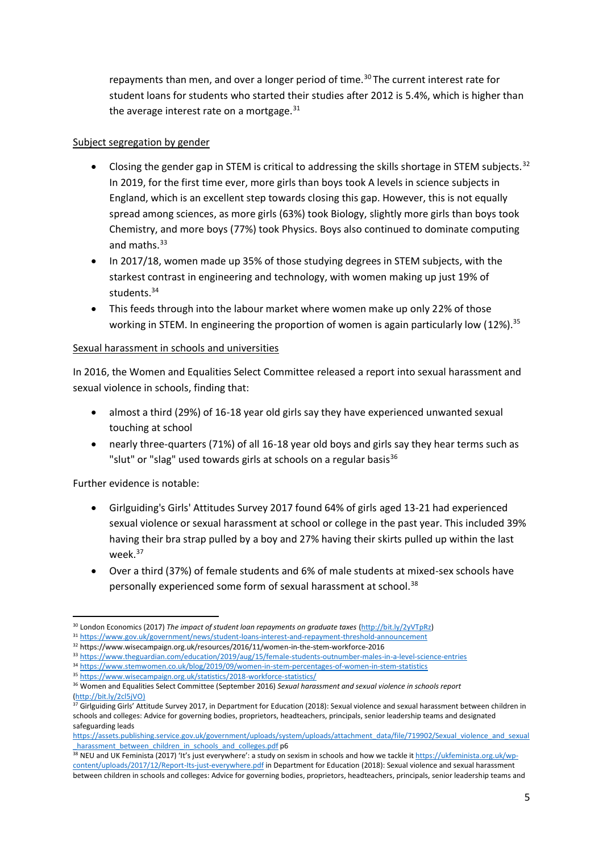repayments than men, and over a longer period of time.<sup>30</sup> The current interest rate for student loans for students who started their studies after 2012 is 5.4%, which is higher than the average interest rate on a mortgage. $31$ 

# Subject segregation by gender

- Closing the gender gap in STEM is critical to addressing the skills shortage in STEM subjects.<sup>32</sup> In 2019, for the first time ever, more girls than boys took A levels in science subjects in England, which is an excellent step towards closing this gap. However, this is not equally spread among sciences, as more girls (63%) took Biology, slightly more girls than boys took Chemistry, and more boys (77%) took Physics. Boys also continued to dominate computing and maths.<sup>33</sup>
- In 2017/18, women made up 35% of those studying degrees in STEM subjects, with the starkest contrast in engineering and technology, with women making up just 19% of students.<sup>34</sup>
- This feeds through into the labour market where women make up only 22% of those working in STEM. In engineering the proportion of women is again particularly low (12%).<sup>35</sup>

# Sexual harassment in schools and universities

In 2016, the Women and Equalities Select Committee released a report into sexual harassment and sexual violence in schools, finding that:

- almost a third (29%) of 16-18 year old girls say they have experienced unwanted sexual touching at school
- nearly three-quarters (71%) of all 16-18 year old boys and girls say they hear terms such as "slut" or "slag" used towards girls at schools on a regular basis<sup>36</sup>

Further evidence is notable:

- Girlguiding's Girls' Attitudes Survey 2017 found 64% of girls aged 13-21 had experienced sexual violence or sexual harassment at school or college in the past year. This included 39% having their bra strap pulled by a boy and 27% having their skirts pulled up within the last week.<sup>37</sup>
- Over a third (37%) of female students and 6% of male students at mixed-sex schools have personally experienced some form of sexual harassment at school.<sup>38</sup>

[https://assets.publishing.service.gov.uk/government/uploads/system/uploads/attachment\\_data/file/719902/Sexual\\_violence\\_and\\_sexual](https://assets.publishing.service.gov.uk/government/uploads/system/uploads/attachment_data/file/719902/Sexual_violence_and_sexual_harassment_between_children_in_schools_and_colleges.pdf)\_ harassment\_between\_children\_in\_schools\_and\_colleges.pdf p6

<sup>30</sup> London Economics (2017) *The impact of student loan repayments on graduate taxes* [\(http://bit.ly/2yVTpRz\)](http://bit.ly/2yVTpRz)

<sup>31</sup> <https://www.gov.uk/government/news/student-loans-interest-and-repayment-threshold-announcement>

<sup>32</sup> https://www.wisecampaign.org.uk/resources/2016/11/women-in-the-stem-workforce-2016

<sup>33</sup> <https://www.theguardian.com/education/2019/aug/15/female-students-outnumber-males-in-a-level-science-entries>

<sup>34</sup> <https://www.stemwomen.co.uk/blog/2019/09/women-in-stem-percentages-of-women-in-stem-statistics>

<sup>35</sup> <https://www.wisecampaign.org.uk/statistics/2018-workforce-statistics/>

<sup>36</sup> Women and Equalities Select Committee (September 2016) *Sexual harassment and sexual violence in schools report* [\(http://bit.ly/2cl5jVO\)](http://bit.ly/2cl5jVO)

 $37$  Girlguiding Girls' Attitude Survey 2017, in Department for Education (2018): Sexual violence and sexual harassment between children in schools and colleges: Advice for governing bodies, proprietors, headteachers, principals, senior leadership teams and designated safeguarding leads

**<sup>38</sup> NEU and UK Feminista (2017) 'It's just everywhere': a study on sexism in schools and how we tackle i[t https://ukfeminista.org.uk/wp](https://ukfeminista.org.uk/wp-content/uploads/2017/12/Report-Its-just-everywhere.pdf)**[content/uploads/2017/12/Report-Its-just-everywhere.pdf](https://ukfeminista.org.uk/wp-content/uploads/2017/12/Report-Its-just-everywhere.pdf) in Department for Education (2018): Sexual violence and sexual harassment between children in schools and colleges: Advice for governing bodies, proprietors, headteachers, principals, senior leadership teams and